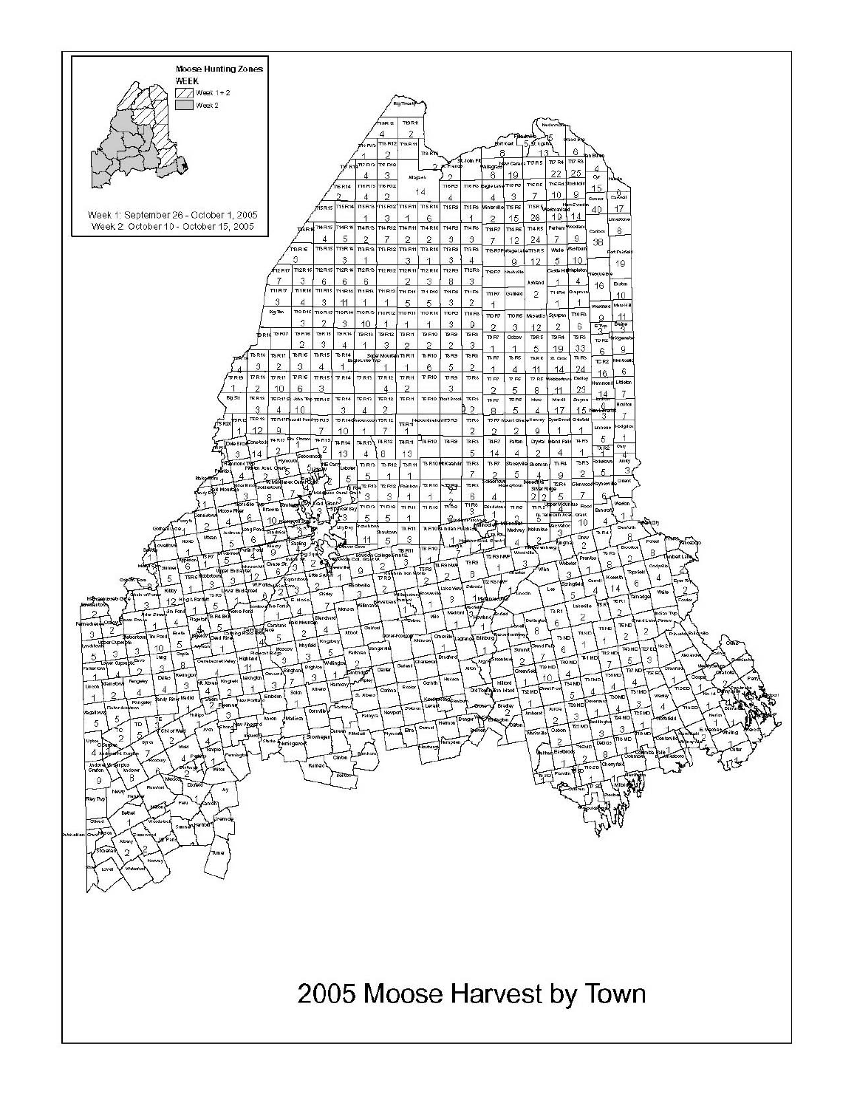